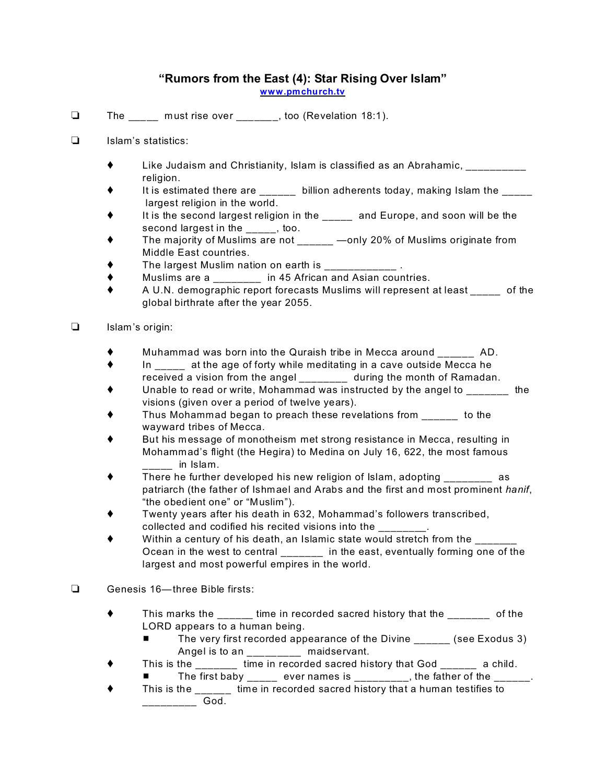## **"Rumors from the East (4): Star Rising Over Islam"**

**[www.pmchurch.tv](http://www.pmchurch.tv)**

- $\Box$  The \_\_\_\_\_ must rise over \_\_\_\_\_\_, too (Revelation 18:1).
- $\Box$  Islam's statistics:
	- $\blacklozenge$  Like Judaism and Christianity, Islam is classified as an Abrahamic, religion.
	- $\blacklozenge$  It is estimated there are \_\_\_\_\_\_ billion adherents today, making Islam the \_\_\_\_\_ largest religion in the world.
	- It is the second largest religion in the \_\_\_\_\_ and Europe, and soon will be the second largest in the \_\_\_\_\_, too.
	- ◆ The majority of Muslims are not \_\_\_\_\_ —only 20% of Muslims originate from Middle East countries.
	- The largest Muslim nation on earth is
	- Muslims are a \_\_\_\_\_\_\_\_ in 45 African and Asian countries.
	- A U.N. demographic report forecasts Muslims will represent at least \_\_\_\_\_ of the global birthrate after the year 2055.
- $\Box$  Islam's origin:
	- Muhammad was born into the Quraish tribe in Mecca around \_\_\_\_\_\_ AD.
	- $\bullet$  In at the age of forty while meditating in a cave outside Mecca he received a vision from the angel \_\_\_\_\_\_\_\_ during the month of Ramadan.
	- Unable to read or write, Mohammad was instructed by the angel to \_\_\_\_\_\_\_ the visions (given over a period of twelve years).
	- Thus Mohammad began to preach these revelations from \_\_\_\_\_\_ to the wayward tribes of Mecca.
	- But his message of monotheism met strong resistance in Mecca, resulting in Mohammad's flight (the Hegira) to Medina on July 16, 622, the most famous  $\blacksquare$  in Islam.
	- $\blacklozenge$  There he further developed his new religion of Islam, adopting  $\blacktriangleright$  as patriarch (the father of Ishmael and Arabs and the first and most prominent *hanif*, "the obedient one" or "Muslim").
	- Twenty years after his death in 632, Mohammad's followers transcribed, collected and codified his recited visions into the \_\_\_\_\_\_\_\_.
	- Within a century of his death, an Islamic state would stretch from the Ocean in the west to central \_\_\_\_\_\_\_ in the east, eventually forming one of the largest and most powerful empires in the world.
- Genesis 16—three Bible firsts:
	- ◆ This marks the \_\_\_\_\_ time in recorded sacred history that the \_\_\_\_\_\_\_ of the LORD appears to a human being.
		- The very first recorded appearance of the Divine (see Exodus 3) Angel is to an \_\_\_\_\_\_\_ maidservant.
	- This is the \_\_\_\_\_\_\_ time in recorded sacred history that God \_\_\_\_\_\_ a child.

The first baby  $\frac{1}{\frac{1}{1-\frac{1}{1-\frac{1}{1-\frac{1}{1-\frac{1}{1-\frac{1}{1-\frac{1}{1-\frac{1}{1-\frac{1}{1-\frac{1}{1-\frac{1}{1-\frac{1}{1-\frac{1}{1-\frac{1}{1-\frac{1}{1-\frac{1}{1-\frac{1}{1-\frac{1}{1-\frac{1}{1-\frac{1}{1-\frac{1}{1-\frac{1}{1-\frac{1}{1-\frac{1}{1-\frac{1}{1-\frac{1}{1-\frac{1}{1-\frac{1}{1-\frac{1}{1-\frac{1}{1-\frac{1}{1-\frac{1}{1-\frac{1}{1-\frac$ 

 This is the \_\_\_\_\_\_ time in recorded sacred history that a human testifies to \_\_\_\_\_\_\_\_\_ God.